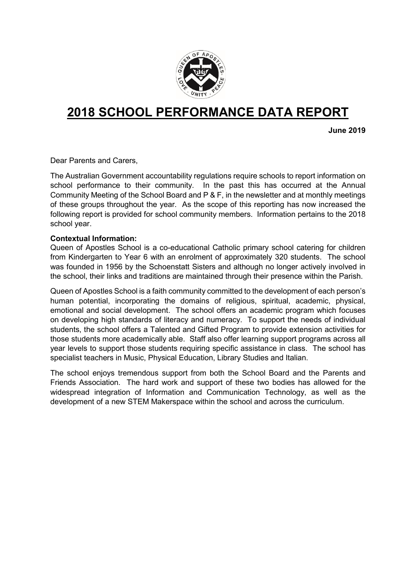

# **2018 SCHOOL PERFORMANCE DATA REPORT**

**June 2019**

Dear Parents and Carers,

The Australian Government accountability regulations require schools to report information on school performance to their community. In the past this has occurred at the Annual Community Meeting of the School Board and P & F, in the newsletter and at monthly meetings of these groups throughout the year. As the scope of this reporting has now increased the following report is provided for school community members. Information pertains to the 2018 school year.

#### **Contextual Information:**

Queen of Apostles School is a co-educational Catholic primary school catering for children from Kindergarten to Year 6 with an enrolment of approximately 320 students. The school was founded in 1956 by the Schoenstatt Sisters and although no longer actively involved in the school, their links and traditions are maintained through their presence within the Parish.

Queen of Apostles School is a faith community committed to the development of each person's human potential, incorporating the domains of religious, spiritual, academic, physical, emotional and social development. The school offers an academic program which focuses on developing high standards of literacy and numeracy. To support the needs of individual students, the school offers a Talented and Gifted Program to provide extension activities for those students more academically able. Staff also offer learning support programs across all year levels to support those students requiring specific assistance in class. The school has specialist teachers in Music, Physical Education, Library Studies and Italian.

The school enjoys tremendous support from both the School Board and the Parents and Friends Association. The hard work and support of these two bodies has allowed for the widespread integration of Information and Communication Technology, as well as the development of a new STEM Makerspace within the school and across the curriculum.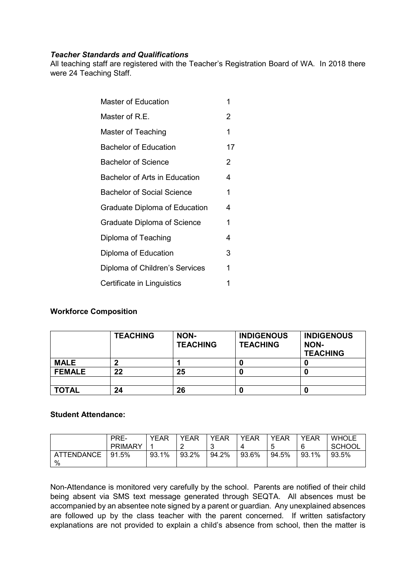### *Teacher Standards and Qualifications*

All teaching staff are registered with the Teacher's Registration Board of WA. In 2018 there were 24 Teaching Staff.

| Master of Education                  | 1  |
|--------------------------------------|----|
| Master of R.E.                       | 2  |
| Master of Teaching                   | 1  |
| <b>Bachelor of Education</b>         | 17 |
| <b>Bachelor of Science</b>           | 2  |
| Bachelor of Arts in Education        | 4  |
| <b>Bachelor of Social Science</b>    | 1  |
| <b>Graduate Diploma of Education</b> | 4  |
| Graduate Diploma of Science          | 1  |
| Diploma of Teaching                  | 4  |
| Diploma of Education                 | 3  |
| Diploma of Children's Services       | 1  |
| Certificate in Linguistics           | 1  |
|                                      |    |

## **Workforce Composition**

|               | <b>TEACHING</b> | NON-<br><b>TEACHING</b> | <b>INDIGENOUS</b><br><b>TEACHING</b> | <b>INDIGENOUS</b><br>NON-<br><b>TEACHING</b> |
|---------------|-----------------|-------------------------|--------------------------------------|----------------------------------------------|
| <b>MALE</b>   |                 |                         |                                      |                                              |
| <b>FEMALE</b> | 22              | 25                      |                                      |                                              |
|               |                 |                         |                                      |                                              |
| <b>TOTAL</b>  | 24              | 26                      |                                      |                                              |

## **Student Attendance:**

|                   | PRE-           | <b>YEAR</b> | <b>YEAR</b> | YEAR  | <b>YEAR</b> | <b>YEAR</b> | YEAR  | <b>WHOLE</b>  |
|-------------------|----------------|-------------|-------------|-------|-------------|-------------|-------|---------------|
|                   | <b>PRIMARY</b> |             |             |       |             | ∽<br>J      | 6     | <b>SCHOOL</b> |
| <b>ATTENDANCE</b> | $91.5\%$       | 93.1%       | 93.2%       | 94.2% | 93.6%       | 94.5%       | 93.1% | 93.5%         |
| %                 |                |             |             |       |             |             |       |               |

Non-Attendance is monitored very carefully by the school. Parents are notified of their child being absent via SMS text message generated through SEQTA. All absences must be accompanied by an absentee note signed by a parent or guardian. Any unexplained absences are followed up by the class teacher with the parent concerned. If written satisfactory explanations are not provided to explain a child's absence from school, then the matter is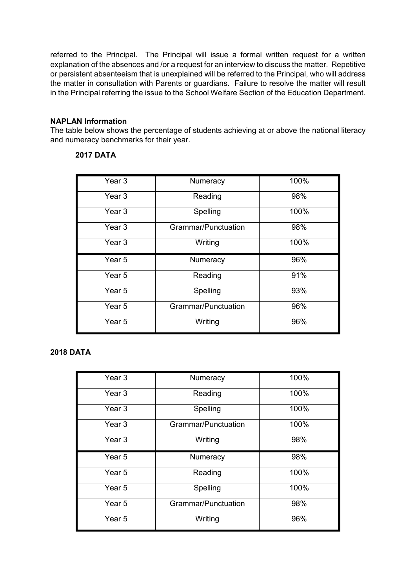referred to the Principal. The Principal will issue a formal written request for a written explanation of the absences and /or a request for an interview to discuss the matter. Repetitive or persistent absenteeism that is unexplained will be referred to the Principal, who will address the matter in consultation with Parents or guardians. Failure to resolve the matter will result in the Principal referring the issue to the School Welfare Section of the Education Department.

### **NAPLAN Information**

The table below shows the percentage of students achieving at or above the national literacy and numeracy benchmarks for their year.

## **2017 DATA**

| Year <sub>3</sub> | Numeracy            | 100% |
|-------------------|---------------------|------|
| Year 3            | Reading             | 98%  |
| Year <sub>3</sub> | Spelling            | 100% |
| Year 3            | Grammar/Punctuation | 98%  |
| Year 3            | Writing             | 100% |
|                   |                     |      |
| Year <sub>5</sub> | Numeracy            | 96%  |
| Year <sub>5</sub> | Reading             | 91%  |
| Year 5            | Spelling            | 93%  |
| Year <sub>5</sub> | Grammar/Punctuation | 96%  |

## **2018 DATA**

| Year <sub>3</sub> | Numeracy            | 100% |
|-------------------|---------------------|------|
| Year <sub>3</sub> | Reading             | 100% |
| Year 3            | Spelling            | 100% |
| Year 3            | Grammar/Punctuation | 100% |
| Year <sub>3</sub> | Writing             | 98%  |
|                   |                     |      |
| Year <sub>5</sub> | Numeracy            | 98%  |
| Year <sub>5</sub> | Reading             | 100% |
| Year <sub>5</sub> | Spelling            | 100% |
| Year <sub>5</sub> | Grammar/Punctuation | 98%  |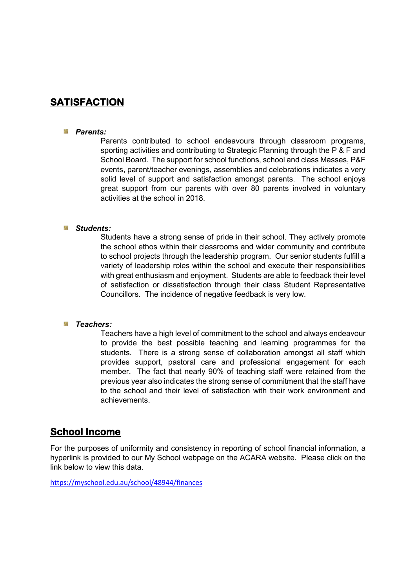## **SATISFACTION**

#### *Parents:*

Parents contributed to school endeavours through classroom programs, sporting activities and contributing to Strategic Planning through the P & F and School Board. The support for school functions, school and class Masses, P&F events, parent/teacher evenings, assemblies and celebrations indicates a very solid level of support and satisfaction amongst parents. The school enjoys great support from our parents with over 80 parents involved in voluntary activities at the school in 2018.

#### *Students:*

Students have a strong sense of pride in their school. They actively promote the school ethos within their classrooms and wider community and contribute to school projects through the leadership program. Our senior students fulfill a variety of leadership roles within the school and execute their responsibilities with great enthusiasm and enjoyment. Students are able to feedback their level of satisfaction or dissatisfaction through their class Student Representative Councillors. The incidence of negative feedback is very low.

#### *Teachers:*

Teachers have a high level of commitment to the school and always endeavour to provide the best possible teaching and learning programmes for the students. There is a strong sense of collaboration amongst all staff which provides support, pastoral care and professional engagement for each member. The fact that nearly 90% of teaching staff were retained from the previous year also indicates the strong sense of commitment that the staff have to the school and their level of satisfaction with their work environment and achievements.

## **School Income**

For the purposes of uniformity and consistency in reporting of school financial information, a hyperlink is provided to our My School webpage on the ACARA website. Please click on the link below to view this data.

<https://myschool.edu.au/school/48944/finances>